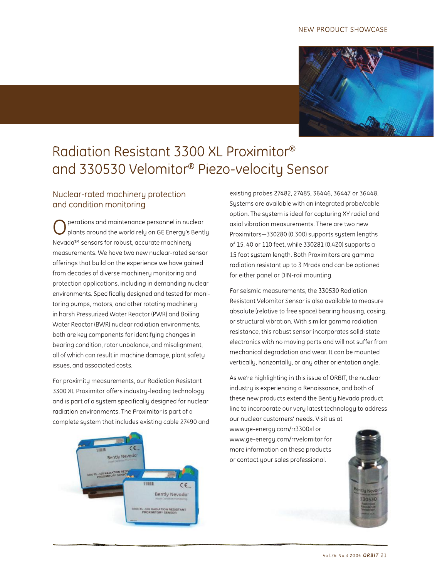

## Radiation Resistant 3300 XL Proximitor® and 330530 Velomitor® Piezo-velocity Sensor

## Nuclear-rated machinery protection and condition monitoring

perations and maintenance personnel in nuclear plants around the world rely on GE Energy's Bently Nevada<sup>™</sup> sensors for robust, accurate machinery measurements. We have two new nuclear-rated sensor offerings that build on the experience we have gained from decades of diverse machinery monitoring and protection applications, including in demanding nuclear environments. Specifically designed and tested for monitoring pumps, motors, and other rotating machinery in harsh Pressurized Water Reactor (PWR) and Boiling Water Reactor (BWR) nuclear radiation environments. both are key components for identifying changes in bearing condition, rotor unbalance, and misalignment, all of which can result in machine damage, plant safety issues, and associated costs.

For proximity measurements, our Radiation Resistant 3300 XL Proximitor offers industry-leading technology and is part of a system specifically designed for nuclear radiation environments. The Proximitor is part of a complete system that includes existing cable 27490 and



existing probes 27482, 27485, 36446, 36447 or 36448. Systems are available with an integrated probe/cable option. The system is ideal for capturing XY radial and axial vibration measurements. There are two new Proximitors-330280 (0.300) supports system lengths of 15, 40 or 110 feet, while 330281 (0.420) supports a 15 foot system length. Both Proximitors are gamma radiation resistant up to 3 Mrads and can be optioned for either panel or DIN-rail mounting.

For seismic measurements, the 330530 Radiation Resistant Velomitor Sensor is also available to measure absolute (relative to free space) bearing housing, casing, or structural vibration. With similar gamma radiation resistance, this robust sensor incorporates solid-state electronics with no moving parts and will not suffer from mechanical degradation and wear. It can be mounted vertically, horizontally, or any other orientation angle.

As we're highlighting in this issue of ORBIT, the nuclear industry is experiencing a Renaissance, and both of these new products extend the Bently Nevada product line to incorporate our very latest technology to address our nuclear customers' needs. Visit us at

www.ge-energy.com/rr3300xl or www.ge-energy.com/rrvelomitor for more information on these products or contact your sales professional.